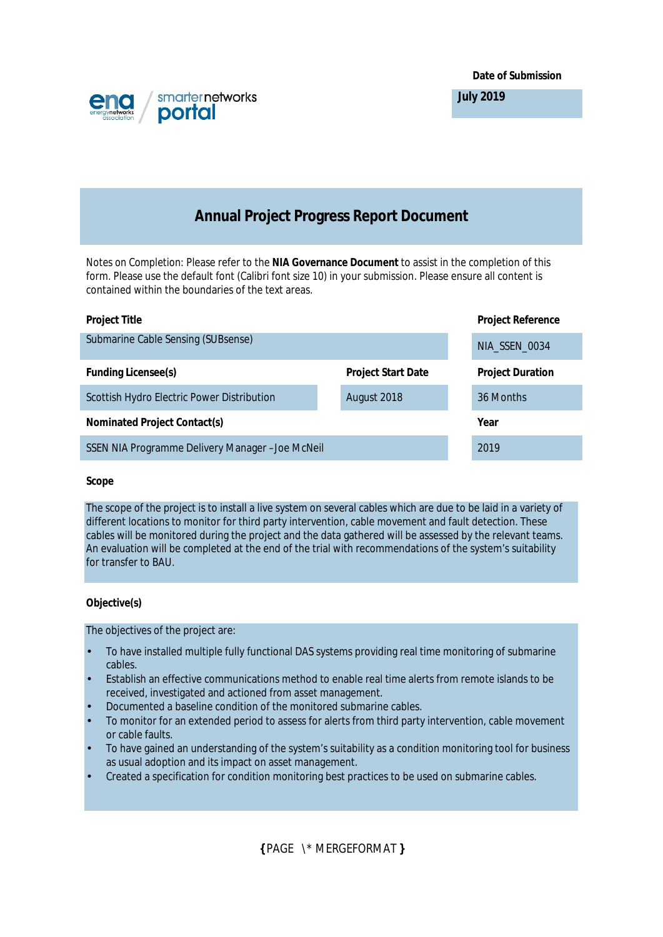**Date of Submission**



**July 2019**

# **Annual Project Progress Report Document**

*Notes on Completion:* Please refer to the **NIA Governance Document** to assist in the completion of this form. Please use the default font (Calibri font size 10) in your submission. Please ensure all content is contained within the boundaries of the text areas.

|                           | <b>Project Reference</b> |
|---------------------------|--------------------------|
|                           | NIA_SSEN_0034            |
| <b>Project Start Date</b> | <b>Project Duration</b>  |
| August 2018               | 36 Months                |
|                           | Year                     |
|                           | 2019                     |
|                           |                          |

### **Scope**

The scope of the project is to install a live system on several cables which are due to be laid in a variety of different locations to monitor for third party intervention, cable movement and fault detection. These cables will be monitored during the project and the data gathered will be assessed by the relevant teams. An evaluation will be completed at the end of the trial with recommendations of the system's suitability for transfer to BAU.

# **Objective(s)**

The objectives of the project are:

- To have installed multiple fully functional DAS systems providing real time monitoring of submarine cables.
- Establish an effective communications method to enable real time alerts from remote islands to be received, investigated and actioned from asset management.
- Documented a baseline condition of the monitored submarine cables.
- To monitor for an extended period to assess for alerts from third party intervention, cable movement or cable faults.
- To have gained an understanding of the system's suitability as a condition monitoring tool for business as usual adoption and its impact on asset management.
- Created a specification for condition monitoring best practices to be used on submarine cables.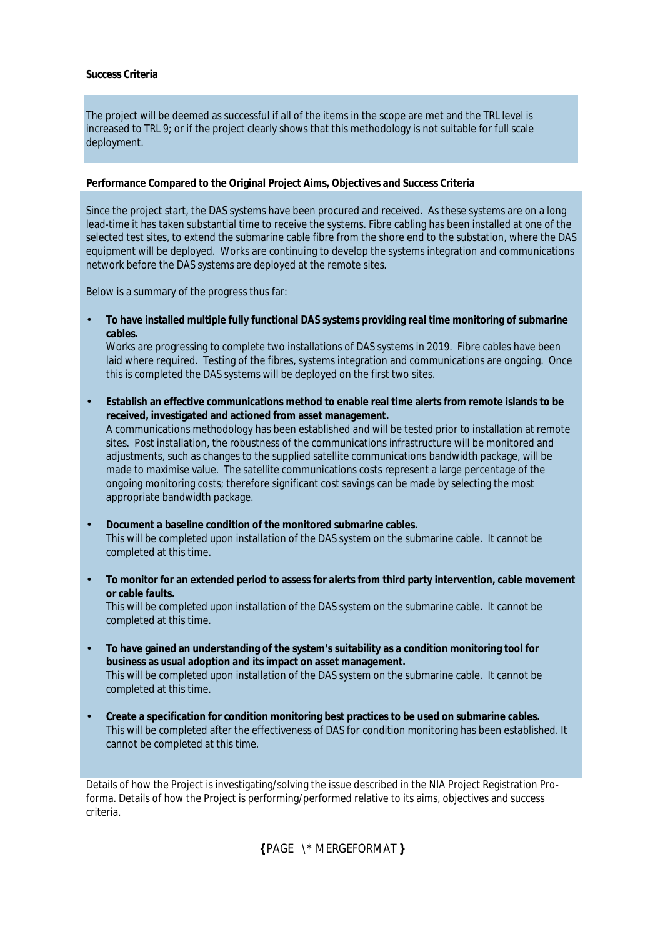### **Success Criteria**

The project will be deemed as successful if all of the items in the scope are met and the TRL level is increased to TRL 9; or if the project clearly shows that this methodology is not suitable for full scale deployment.

## **Performance Compared to the Original Project Aims, Objectives and Success Criteria**

Since the project start, the DAS systems have been procured and received. As these systems are on a long lead-time it has taken substantial time to receive the systems. Fibre cabling has been installed at one of the selected test sites, to extend the submarine cable fibre from the shore end to the substation, where the DAS equipment will be deployed. Works are continuing to develop the systems integration and communications network before the DAS systems are deployed at the remote sites.

Below is a summary of the progress thus far:

• **To have installed multiple fully functional DAS systems providing real time monitoring of submarine cables.**

Works are progressing to complete two installations of DAS systems in 2019. Fibre cables have been laid where required. Testing of the fibres, systems integration and communications are ongoing. Once this is completed the DAS systems will be deployed on the first two sites.

- **Establish an effective communications method to enable real time alerts from remote islands to be received, investigated and actioned from asset management.** A communications methodology has been established and will be tested prior to installation at remote sites. Post installation, the robustness of the communications infrastructure will be monitored and adjustments, such as changes to the supplied satellite communications bandwidth package, will be made to maximise value. The satellite communications costs represent a large percentage of the ongoing monitoring costs; therefore significant cost savings can be made by selecting the most appropriate bandwidth package.
- **Document a baseline condition of the monitored submarine cables.** This will be completed upon installation of the DAS system on the submarine cable. It cannot be completed at this time.
- **To monitor for an extended period to assess for alerts from third party intervention, cable movement or cable faults.**

This will be completed upon installation of the DAS system on the submarine cable. It cannot be completed at this time.

- **To have gained an understanding of the system's suitability as a condition monitoring tool for business as usual adoption and its impact on asset management.** This will be completed upon installation of the DAS system on the submarine cable. It cannot be completed at this time.
- **Create a specification for condition monitoring best practices to be used on submarine cables.** This will be completed after the effectiveness of DAS for condition monitoring has been established. It cannot be completed at this time.

Details of how the Project is investigating/solving the issue described in the NIA Project Registration Proforma. Details of how the Project is performing/performed relative to its aims, objectives and success criteria.

**{** PAGE \\* MERGEFORMAT **}**